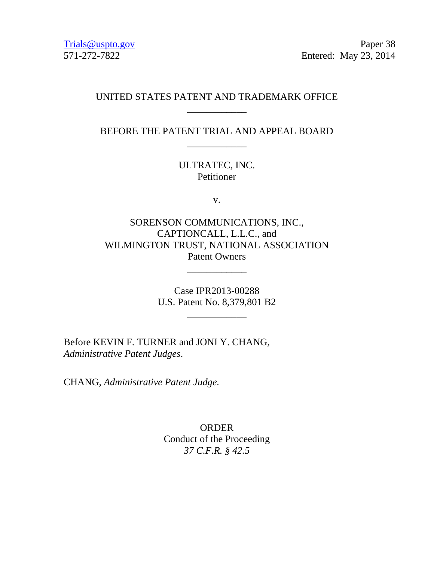Trials@uspto.gov Paper 38 571-272-7822 Entered: May 23, 2014

# UNITED STATES PATENT AND TRADEMARK OFFICE \_\_\_\_\_\_\_\_\_\_\_\_

BEFORE THE PATENT TRIAL AND APPEAL BOARD \_\_\_\_\_\_\_\_\_\_\_\_

> ULTRATEC, INC. Petitioner

> > v.

SORENSON COMMUNICATIONS, INC., CAPTIONCALL, L.L.C., and WILMINGTON TRUST, NATIONAL ASSOCIATION Patent Owners

\_\_\_\_\_\_\_\_\_\_\_\_

Case IPR2013-00288 U.S. Patent No. 8,379,801 B2

 $\overline{\phantom{a}}$   $\overline{\phantom{a}}$   $\overline{\phantom{a}}$   $\overline{\phantom{a}}$   $\overline{\phantom{a}}$   $\overline{\phantom{a}}$   $\overline{\phantom{a}}$   $\overline{\phantom{a}}$   $\overline{\phantom{a}}$   $\overline{\phantom{a}}$   $\overline{\phantom{a}}$   $\overline{\phantom{a}}$   $\overline{\phantom{a}}$   $\overline{\phantom{a}}$   $\overline{\phantom{a}}$   $\overline{\phantom{a}}$   $\overline{\phantom{a}}$   $\overline{\phantom{a}}$   $\overline{\$ 

Before KEVIN F. TURNER and JONI Y. CHANG, *Administrative Patent Judges*.

CHANG, *Administrative Patent Judge.*

ORDER Conduct of the Proceeding *37 C.F.R. § 42.5*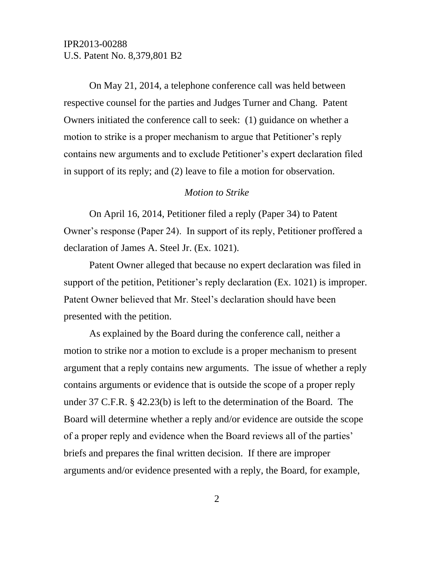On May 21, 2014, a telephone conference call was held between respective counsel for the parties and Judges Turner and Chang. Patent Owners initiated the conference call to seek: (1) guidance on whether a motion to strike is a proper mechanism to argue that Petitioner's reply contains new arguments and to exclude Petitioner's expert declaration filed in support of its reply; and (2) leave to file a motion for observation.

#### *Motion to Strike*

On April 16, 2014, Petitioner filed a reply (Paper 34) to Patent Owner's response (Paper 24). In support of its reply, Petitioner proffered a declaration of James A. Steel Jr. (Ex. 1021).

Patent Owner alleged that because no expert declaration was filed in support of the petition, Petitioner's reply declaration (Ex. 1021) is improper. Patent Owner believed that Mr. Steel's declaration should have been presented with the petition.

As explained by the Board during the conference call, neither a motion to strike nor a motion to exclude is a proper mechanism to present argument that a reply contains new arguments. The issue of whether a reply contains arguments or evidence that is outside the scope of a proper reply under 37 C.F.R. § 42.23(b) is left to the determination of the Board. The Board will determine whether a reply and/or evidence are outside the scope of a proper reply and evidence when the Board reviews all of the parties' briefs and prepares the final written decision. If there are improper arguments and/or evidence presented with a reply, the Board, for example,

2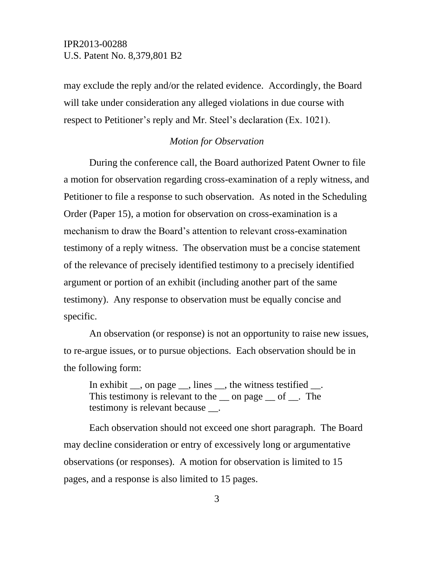may exclude the reply and/or the related evidence. Accordingly, the Board will take under consideration any alleged violations in due course with respect to Petitioner's reply and Mr. Steel's declaration (Ex. 1021).

#### *Motion for Observation*

During the conference call, the Board authorized Patent Owner to file a motion for observation regarding cross-examination of a reply witness, and Petitioner to file a response to such observation. As noted in the Scheduling Order (Paper 15), a motion for observation on cross-examination is a mechanism to draw the Board's attention to relevant cross-examination testimony of a reply witness. The observation must be a concise statement of the relevance of precisely identified testimony to a precisely identified argument or portion of an exhibit (including another part of the same testimony). Any response to observation must be equally concise and specific.

An observation (or response) is not an opportunity to raise new issues, to re-argue issues, or to pursue objections. Each observation should be in the following form:

In exhibit  $\_\_$ , on page  $\_\_$ , lines  $\_\_$ , the witness testified  $\_\_$ . This testimony is relevant to the  $\equiv$  on page  $\equiv$  of  $\equiv$ . The testimony is relevant because \_\_.

Each observation should not exceed one short paragraph. The Board may decline consideration or entry of excessively long or argumentative observations (or responses). A motion for observation is limited to 15 pages, and a response is also limited to 15 pages.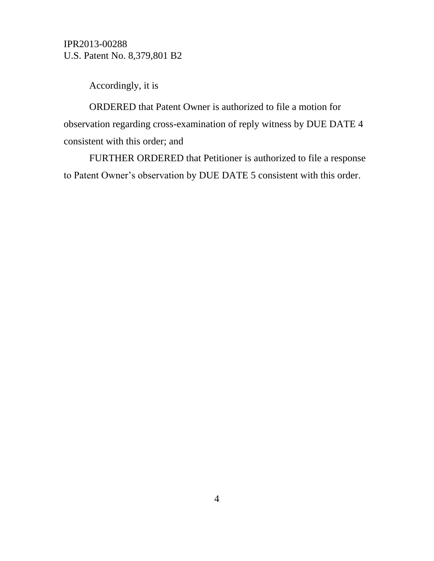Accordingly, it is

ORDERED that Patent Owner is authorized to file a motion for observation regarding cross-examination of reply witness by DUE DATE 4 consistent with this order; and

FURTHER ORDERED that Petitioner is authorized to file a response to Patent Owner's observation by DUE DATE 5 consistent with this order.